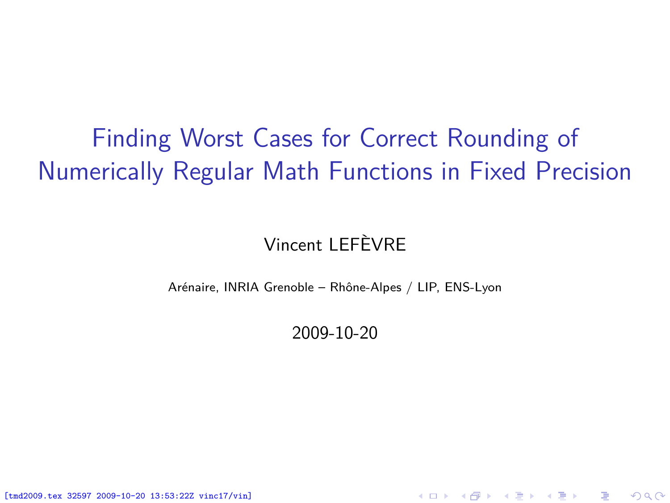## Finding Worst Cases for Correct Rounding of Numerically Regular Math Functions in Fixed Precision

#### Vincent LEFÈVRE

Arénaire, INRIA Grenoble – Rhône-Alpes / LIP, ENS-Lyon

2009-10-20

<span id="page-0-0"></span>K ロ ▶ (K @ ) X ( B ) X ( B ) / [ B )

 $299$ 

[tmd2009.tex 32597 2009-10-20 13:53:22Z vinc17/vin]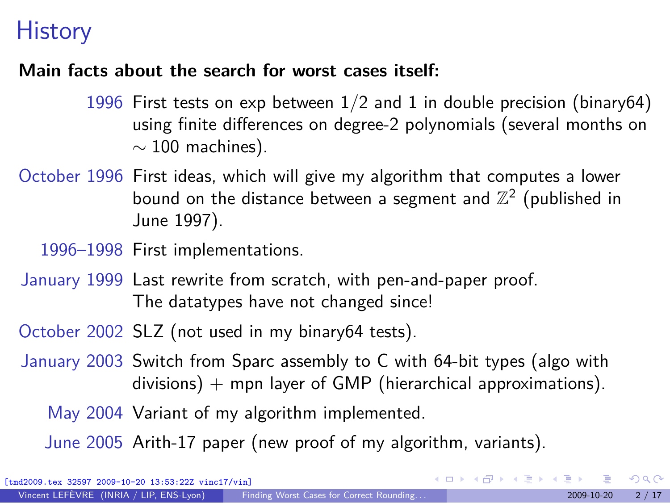#### **History**

#### **Main facts about the search for worst cases itself:**

- 1996 First tests on exp between 1*/*2 and 1 in double precision (binary64) using finite differences on degree-2 polynomials (several months on *∼* 100 machines).
- October 1996 First ideas, which will give my algorithm that computes a lower bound on the distance between a segment and  $\mathbb{Z}^2$  (published in June 1997).

1996–1998 First implementations.

- January 1999 Last rewrite from scratch, with pen-and-paper proof. The datatypes have not changed since!
- October 2002 SLZ (not used in my binary64 tests).
- January 2003 Switch from Sparc assembly to C with 64-bit types (algo with divisions)  $+$  mpn layer of GMP (hierarchical approximations).

May 2004 Variant of my algorithm implemented.

June 2005 Arith-17 paper (new proof of my algorithm, variants).

 $\Omega$ 

メロメメ 御 メメ きょくきょう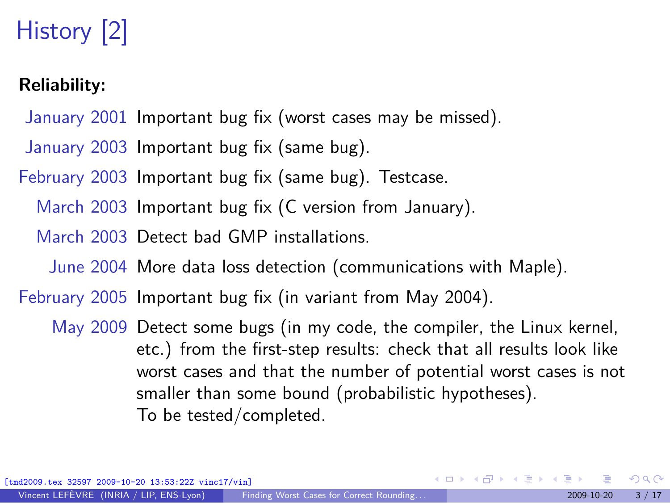# History [2]

#### **Reliability:**

- January 2001 Important bug fix (worst cases may be missed).
- January 2003 Important bug fix (same bug).
- February 2003 Important bug fix (same bug). Testcase.
	- March 2003 Important bug fix (C version from January).
	- March 2003 Detect bad GMP installations.
		- June 2004 More data loss detection (communications with Maple).
- February 2005 Important bug fix (in variant from May 2004).
	- May 2009 Detect some bugs (in my code, the compiler, the Linux kernel, etc.) from the first-step results: check that all results look like worst cases and that the number of potential worst cases is not smaller than some bound (probabilistic hypotheses). To be tested/completed.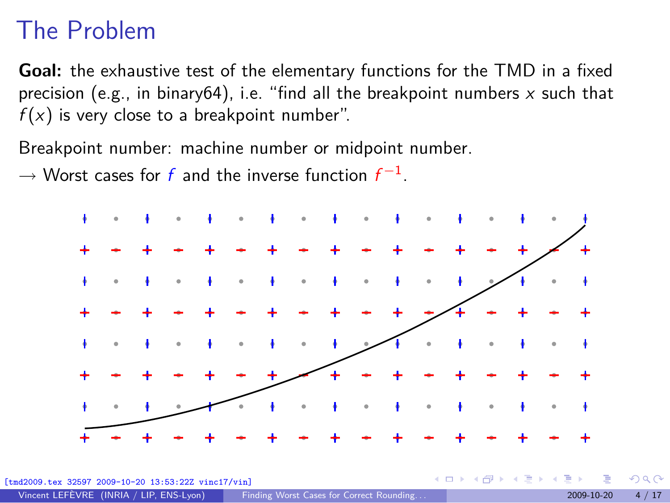#### The Problem

**Goal:** the exhaustive test of the elementary functions for the TMD in a fixed precision (e.g., in binary64), i.e. "find all the breakpoint numbers  $x$  such that  $f(x)$  is very close to a breakpoint number".

Breakpoint number: machine number or midpoint number.

*→* Worst cases for f and the inverse function f *−*1 .

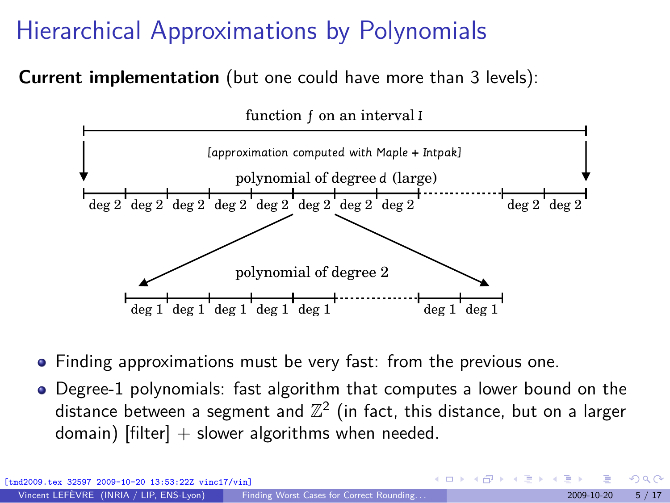## Hierarchical Approximations by Polynomials

**Current implementation** (but one could have more than 3 levels):



- Finding approximations must be very fast: from the previous one.
- Degree-1 polynomials: fast algorithm that computes a lower bound on the distance between a segment and  $\mathbb{Z}^2$  (in fact, this distance, but on a larger domain)  $[filter] + slower algorithms$  when needed.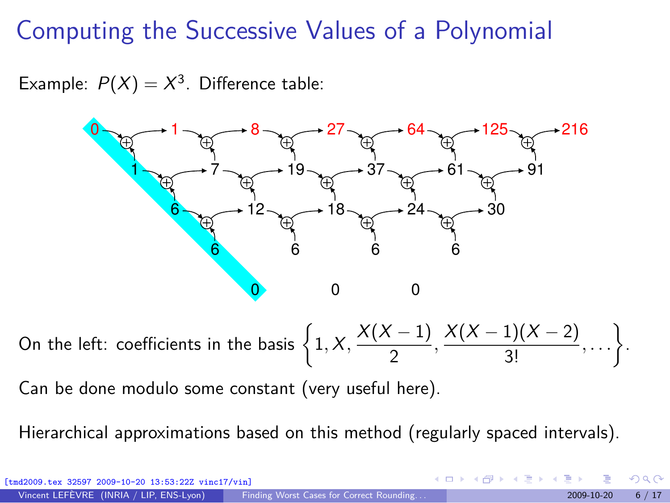#### Computing the Successive Values of a Polynomial

Example:  $P(X) = X^3$ . Difference table:



On the left: coefficients in the basis  $\left\{1, X, \frac{X(X-1)}{2}\right\}$ 2 *,* X(X *−* 1)(X *−* 2)  $\frac{1)(X-2)}{3!}, \ldots \bigg\}$ .

Can be done modulo some constant (very useful here).

Hierarchical approximations based on this method (regularly spaced intervals).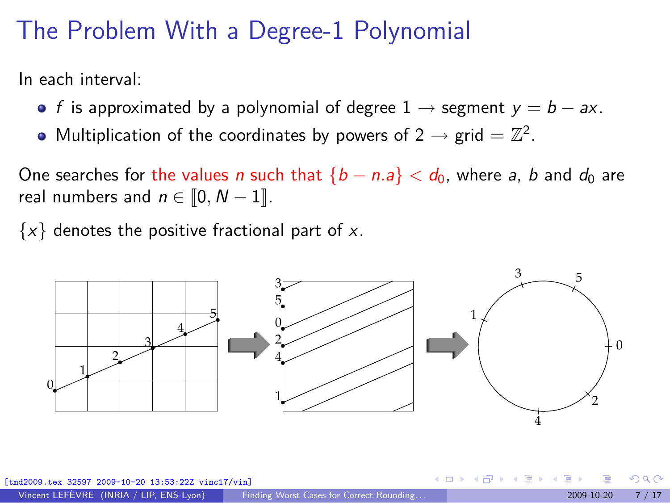#### The Problem With a Degree-1 Polynomial

In each interval:

- f is approximated by a polynomial of degree 1 *→* segment y = b *−* ax.
- Multiplication of the coordinates by powers of  $2 \rightarrow \text{grid} = \mathbb{Z}^2$ .

One searches for the values *n* such that  ${b - n.a} < d_0$ , where *a*, *b* and  $d_0$  are real numbers and  $n \in [0, N - 1]$ .

*{*x*}* denotes the positive fractional part of x.



 $\left\{ \begin{array}{ccc} \square & \rightarrow & \left\{ \bigcap \mathbb{R} \right\} & \rightarrow & \left\{ \bigcap \mathbb{R} \right\} & \rightarrow & \left\{ \bigcap \mathbb{R} \right\} \end{array} \right.$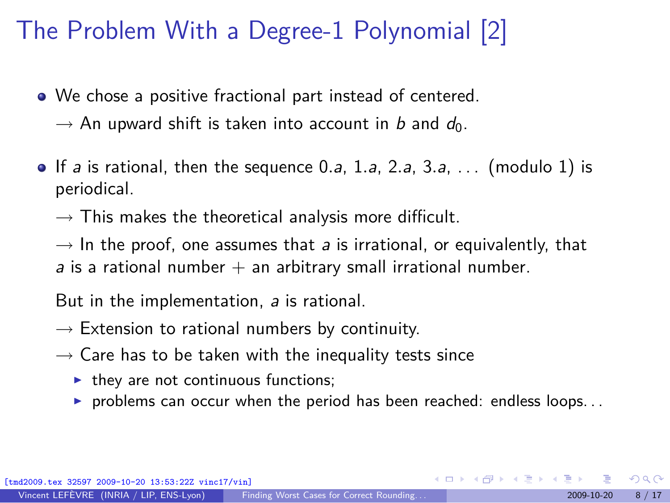### The Problem With a Degree-1 Polynomial [2]

- We chose a positive fractional part instead of centered.
	- $\rightarrow$  An upward shift is taken into account in b and  $d_0$ .
- If a is rational, then the sequence 0*.*a, 1*.*a, 2*.*a, 3*.*a, . . . (modulo 1) is periodical.
	- $\rightarrow$  This makes the theoretical analysis more difficult.

 $\rightarrow$  In the proof, one assumes that *a* is irrational, or equivalently, that a is a rational number  $+$  an arbitrary small irrational number.

But in the implementation, a is rational.

- *→* Extension to rational numbers by continuity.
- *→* Care has to be taken with the inequality tests since
	- $\blacktriangleright$  they are not continuous functions;
	- $\triangleright$  problems can occur when the period has been reached: endless loops...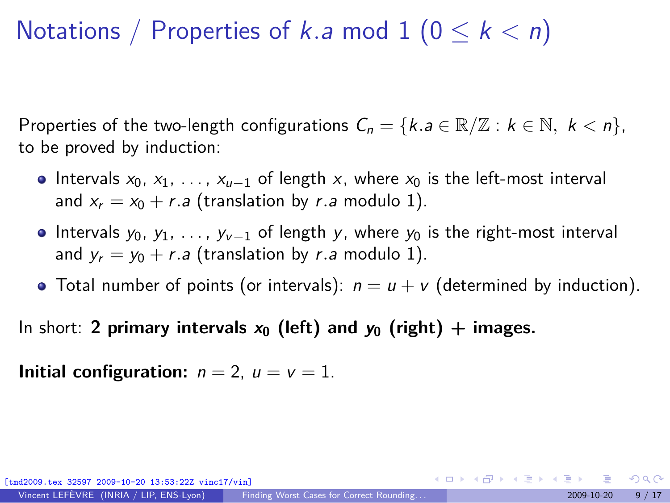#### Notations / Properties of k.a mod  $1$   $(0 \leq k \leq n)$

Properties of the two-length configurations  $C_n = \{k.a \in \mathbb{R}/\mathbb{Z} : k \in \mathbb{N}, k < n\}$ , to be proved by induction:

- **•** Intervals x<sub>0</sub>, x<sub>1</sub>, ..., x<sub>u−1</sub> of length x, where x<sub>0</sub> is the left-most interval and  $x_r = x_0 + r.a$  (translation by r.a modulo 1).
- **•** Intervals y<sub>0</sub>, y<sub>1</sub>, ..., y<sub>v−1</sub> of length y, where y<sub>0</sub> is the right-most interval and  $y_r = y_0 + r.a$  (translation by r.a modulo 1).
- Total number of points (or intervals):  $n = u + v$  (determined by induction).

In short: **2 primary intervals**  $x_0$  (left) and  $y_0$  (right) + images.

**Initial configuration:**  $n = 2$ ,  $u = v = 1$ .

 $-10-20$   $13:53:22Z$  vinc $17/\text{vin}$ 

 $\Omega$ 

イロメ イ団メ イモメ イモメー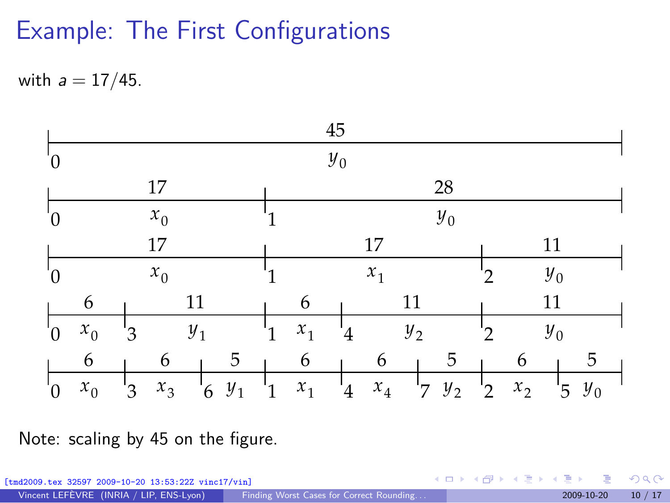## Example: The First Configurations

with a = 17*/*45.



Note: scaling by 45 on the figure.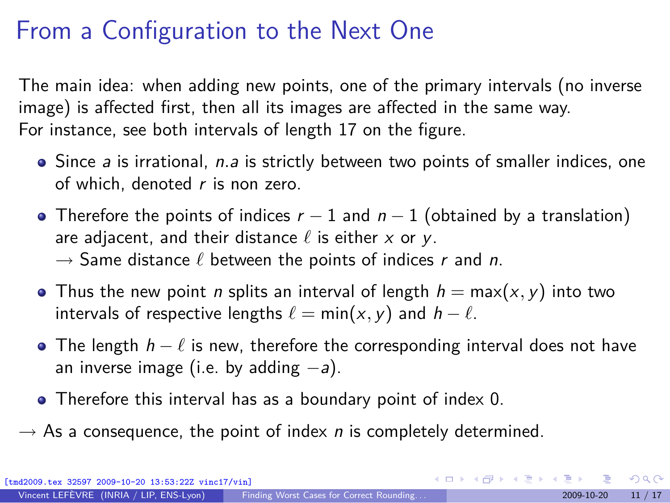#### From a Configuration to the Next One

The main idea: when adding new points, one of the primary intervals (no inverse image) is affected first, then all its images are affected in the same way. For instance, see both intervals of length 17 on the figure.

- Since *a* is irrational, *n.a* is strictly between two points of smaller indices, one of which, denoted  $r$  is non zero.
- Therefore the points of indices r *−* 1 and n *−* 1 (obtained by a translation) are adjacent, and their distance *ℓ* is either x or y. *→* Same distance *ℓ* between the points of indices r and n.
- **•** Thus the new point *n* splits an interval of length  $h = max(x, y)$  into two intervals of respective lengths  $\ell = \min(x, y)$  and  $h - \ell$ .
- **•** The length  $h l$  is new, therefore the corresponding interval does not have an inverse image (i.e. by adding *−*a).
- Therefore this interval has as a boundary point of index 0.
- $\rightarrow$  As a consequence, the point of index *n* is completely determined.

 $\Omega$ 

K ロ > K 個 > K 경 > K 경 > X 경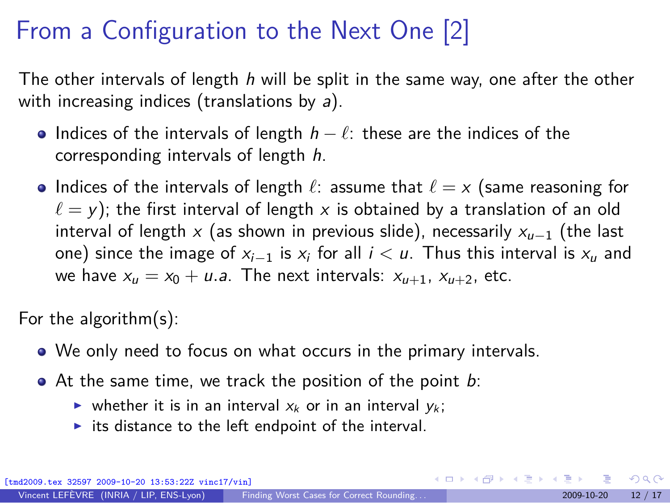## From a Configuration to the Next One [2]

The other intervals of length  $h$  will be split in the same way, one after the other with increasing indices (translations by  $a$ ).

- Indices of the intervals of length h *− ℓ*: these are the indices of the corresponding intervals of length h.
- Indices of the intervals of length *ℓ*: assume that *ℓ* = x (same reasoning for  $l = y$ ); the first interval of length x is obtained by a translation of an old interval of length x (as shown in previous slide), necessarily x<sub>u−1</sub> (the last one) since the image of xi*−*<sup>1</sup> is x<sup>i</sup> for all i *<* u. Thus this interval is x<sup>u</sup> and we have  $x_u = x_0 + u.a$ . The next intervals:  $x_{u+1}$ ,  $x_{u+2}$ , etc.

For the algorithm(s):

- We only need to focus on what occurs in the primary intervals.
- $\bullet$  At the same time, we track the position of the point  $b$ :
	- ightharpoonup whether it is in an interval  $x_k$  or in an interval  $y_k$ ;
	- $\triangleright$  its distance to the left endpoint of the interval.

 $\Omega$ 

メロメメ 御 メメ きょくきょう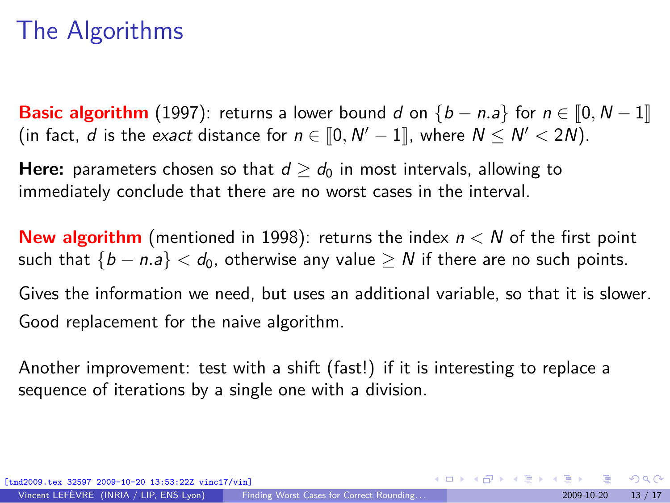#### The Algorithms

**Basic algorithm** (1997): returns a lower bound d on  ${b - n.a}$  for  $n \in [0, N - 1]$  $($  in fact,  $d$  is the exact distance for  $n \in [0, N' - 1]$ , where  $N \le N' < 2N$ .

**Here:** parameters chosen so that  $d > d_0$  in most intervals, allowing to immediately conclude that there are no worst cases in the interval.

**New algorithm** (mentioned in 1998): returns the index n *<* N of the first point such that  ${b - n.a} < d_0$ , otherwise any value  $\geq N$  if there are no such points.

Gives the information we need, but uses an additional variable, so that it is slower. Good replacement for the naive algorithm.

Another improvement: test with a shift (fast!) if it is interesting to replace a sequence of iterations by a single one with a division.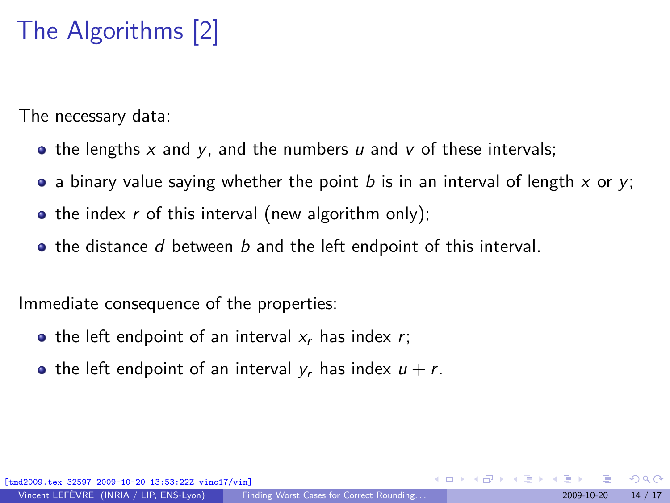# The Algorithms [2]

The necessary data:

- the lengths x and y, and the numbers u and v of these intervals;
- a binary value saying whether the point b is in an interval of length x or y;
- the index  $r$  of this interval (new algorithm only);
- $\bullet$  the distance d between b and the left endpoint of this interval.

Immediate consequence of the properties:

- the left endpoint of an interval  $x_r$  has index r;
- the left endpoint of an interval  $y_r$  has index  $u + r$ .

 $\Omega$ 

 $\left\{ \begin{array}{ccc} 1 & 0 & 0 \\ 0 & 1 & 0 \end{array} \right.$  ,  $\left\{ \begin{array}{ccc} \frac{1}{2} & 0 & 0 \\ 0 & 0 & 0 \end{array} \right.$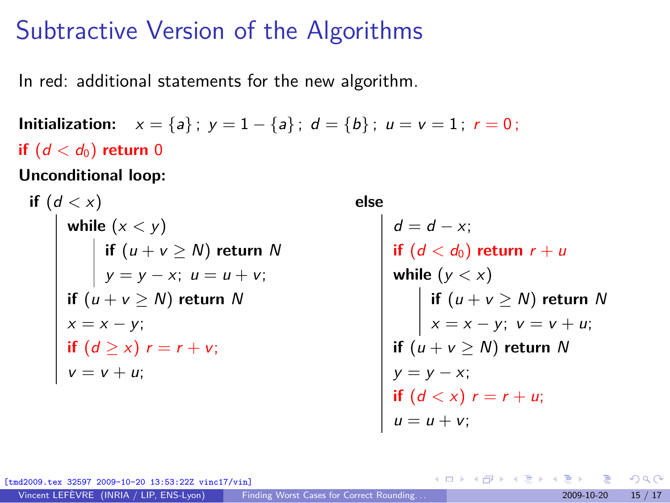#### Subtractive Version of the Algorithms

In red: additional statements for the new algorithm.

**Initialization:**  $x = \{a\}$ ;  $y = 1 - \{a\}$ ;  $d = \{b\}$ ;  $u = v = 1$ ;  $r = 0$ ; **if**  $(d < d_0)$  **return** 0

**Unconditional loop:**

\n
$$
\text{if } (d < x)
$$
\n

\n\n $\text{while } (x < y)$ \n

\n\n $\text{if } (u + v \geq N) \text{ return } N$ \n

\n\n $\text{if } (u + v \geq N) \text{ return } N$ \n

\n\n $\text{if } (u + v \geq N) \text{ return } N$ \n

\n\n $\text{if } (d \geq x) \text{ } r = r + v;$ \n

\n\n $\text{if } (d \geq x) \text{ } r = r + v;$ \n

\n\n $\text{if } v = v + u;$ \n

**else**

 $d = d - x;$  $\textbf{if} \, (d < d_0) \textbf{ return } r + u$ **while**  $(y < x)$ **if** (u + v *≥* N) **return** N x = x *−* y; v = v + u; **if** (u + v *≥* N) **return** N y = y *−* x; **if**  $(d < x)$   $r = r + u$ ;  $u = u + v;$ 

メロトメ 倒 トメ 君 トメ 君 トー

[tmd2009.tex 32597 2009-10-20 13:53:22Z vinc17/vin]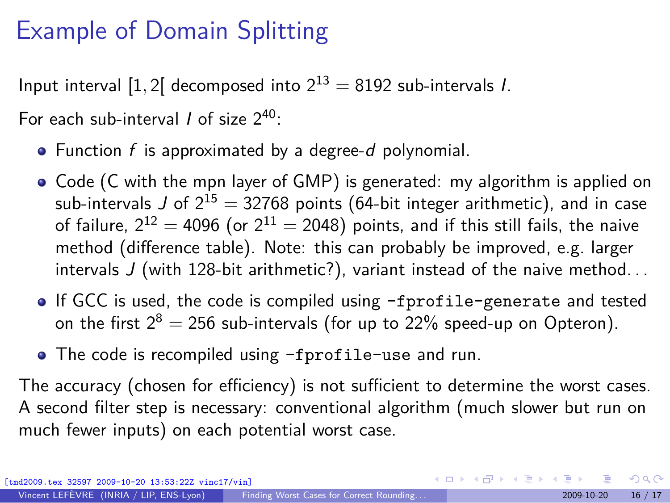#### Example of Domain Splitting

Input interval [1, 2] decomposed into  $2^{13} = 8192$  sub-intervals *I*.

For each sub-interval  $\ell$  of size  $2^{40}$ :

- $\bullet$  Function f is approximated by a degree-d polynomial.
- Code (C with the mpn layer of GMP) is generated: my algorithm is applied on sub-intervals J of  $2^{15} = 32768$  points (64-bit integer arithmetic), and in case of failure,  $2^{12} = 4096$  (or  $2^{11} = 2048$ ) points, and if this still fails, the naive method (difference table). Note: this can probably be improved, e.g. larger intervals J (with 128-bit arithmetic?), variant instead of the naive method. . .
- If GCC is used, the code is compiled using -fprofile-generate and tested on the first  $2^8 = 256$  sub-intervals (for up to 22% speed-up on Opteron).
- The code is recompiled using -fprofile-use and run.

The accuracy (chosen for efficiency) is not sufficient to determine the worst cases. A second filter step is necessary: conventional algorithm (much slower but run on much fewer inputs) on each potential worst case.

 $\Omega$ 

メロメメ 倒 メメ きょく ミメー